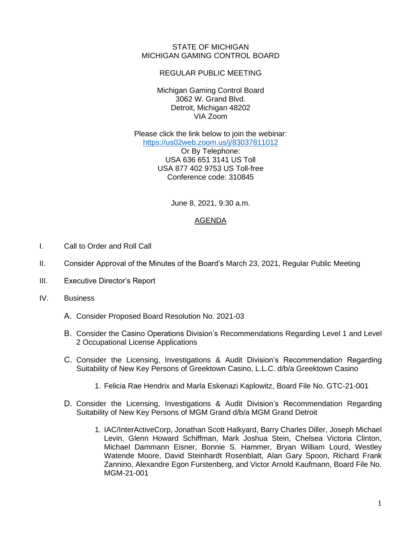STATE OF MICHIGAN MICHIGAN GAMING CONTROL BOARD

REGULAR PUBLIC MEETING

Michigan Gaming Control Board 3062 W. Grand Blvd. Detroit, Michigan 48202 VIA Zoom

Please click the link below to join the webinar: [https://us02web.zoom.us/j/83037811012](https://gcc02.safelinks.protection.outlook.com/?url=https%3A%2F%2Fus02web.zoom.us%2Fj%2F83037811012&data=04%7C01%7CBeanM1%40michigan.gov%7C8d890dce88e04f2b474508d925338149%7Cd5fb7087377742ad966a892ef47225d1%7C0%7C0%7C637581725398753407%7CUnknown%7CTWFpbGZsb3d8eyJWIjoiMC4wLjAwMDAiLCJQIjoiV2luMzIiLCJBTiI6Ik1haWwiLCJXVCI6Mn0%3D%7C1000&sdata=LGAf4VMpkoNU9S4rRu%2BYCP4nepsWc%2B6pkRekozJAD64%3D&reserved=0)

Or By Telephone: USA 636 651 3141 US Toll USA 877 402 9753 US Toll-free Conference code: 310845

June 8, 2021, 9:30 a.m.

## AGENDA

- I. Call to Order and Roll Call
- II. Consider Approval of the Minutes of the Board's March 23, 2021, Regular Public Meeting
- III. Executive Director's Report
- IV. Business
	- A. Consider Proposed Board Resolution No. 2021-03
	- B. Consider the Casino Operations Division's Recommendations Regarding Level 1 and Level 2 Occupational License Applications
	- C. Consider the Licensing, Investigations & Audit Division's Recommendation Regarding Suitability of New Key Persons of Greektown Casino, L.L.C. d/b/a Greektown Casino
		- 1. Felicia Rae Hendrix and Marla Eskenazi Kaplowitz, Board File No. GTC-21-001
	- D. Consider the Licensing, Investigations & Audit Division's Recommendation Regarding Suitability of New Key Persons of MGM Grand d/b/a MGM Grand Detroit
		- 1. IAC/InterActiveCorp, Jonathan Scott Halkyard, Barry Charles Diller, Joseph Michael Levin, Glenn Howard Schiffman, Mark Joshua Stein, Chelsea Victoria Clinton, Michael Dammann Eisner, Bonnie S. Hammer, Bryan William Lourd, Westley Watende Moore, David Steinhardt Rosenblatt, Alan Gary Spoon, Richard Frank Zannino, Alexandre Egon Furstenberg, and Victor Arnold Kaufmann, Board File No. MGM-21-001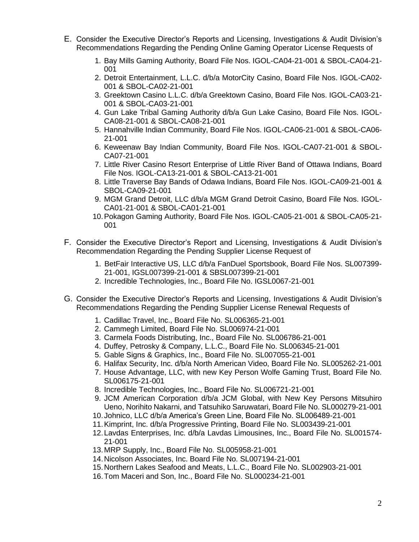- E. Consider the Executive Director's Reports and Licensing, Investigations & Audit Division's Recommendations Regarding the Pending Online Gaming Operator License Requests of
	- 1. Bay Mills Gaming Authority, Board File Nos. IGOL-CA04-21-001 & SBOL-CA04-21- 001
	- 2. Detroit Entertainment, L.L.C. d/b/a MotorCity Casino, Board File Nos. IGOL-CA02- 001 & SBOL-CA02-21-001
	- 3. Greektown Casino L.L.C. d/b/a Greektown Casino, Board File Nos. IGOL-CA03-21- 001 & SBOL-CA03-21-001
	- 4. Gun Lake Tribal Gaming Authority d/b/a Gun Lake Casino, Board File Nos. IGOL-CA08-21-001 & SBOL-CA08-21-001
	- 5. Hannahville Indian Community, Board File Nos. IGOL-CA06-21-001 & SBOL-CA06- 21-001
	- 6. Keweenaw Bay Indian Community, Board File Nos. IGOL-CA07-21-001 & SBOL-CA07-21-001
	- 7. Little River Casino Resort Enterprise of Little River Band of Ottawa Indians, Board File Nos. IGOL-CA13-21-001 & SBOL-CA13-21-001
	- 8. Little Traverse Bay Bands of Odawa Indians, Board File Nos. IGOL-CA09-21-001 & SBOL-CA09-21-001
	- 9. MGM Grand Detroit, LLC d/b/a MGM Grand Detroit Casino, Board File Nos. IGOL-CA01-21-001 & SBOL-CA01-21-001
	- 10.Pokagon Gaming Authority, Board File Nos. IGOL-CA05-21-001 & SBOL-CA05-21- 001
- F. Consider the Executive Director's Report and Licensing, Investigations & Audit Division's Recommendation Regarding the Pending Supplier License Request of
	- 1. BetFair Interactive US, LLC d/b/a FanDuel Sportsbook, Board File Nos. SL007399- 21-001, IGSL007399-21-001 & SBSL007399-21-001
	- 2. Incredible Technologies, Inc., Board File No. IGSL0067-21-001
- G. Consider the Executive Director's Reports and Licensing, Investigations & Audit Division's Recommendations Regarding the Pending Supplier License Renewal Requests of
	- 1. Cadillac Travel, Inc., Board File No. SL006365-21-001
	- 2. Cammegh Limited, Board File No. SL006974-21-001
	- 3. Carmela Foods Distributing, Inc., Board File No. SL006786-21-001
	- 4. Duffey, Petrosky & Company, L.L.C., Board File No. SL006345-21-001
	- 5. Gable Signs & Graphics, Inc., Board File No. SL007055-21-001
	- 6. Halifax Security, Inc. d/b/a North American Video, Board File No. SL005262-21-001
	- 7. House Advantage, LLC, with new Key Person Wolfe Gaming Trust, Board File No. SL006175-21-001
	- 8. Incredible Technologies, Inc., Board File No. SL006721-21-001
	- 9. JCM American Corporation d/b/a JCM Global, with New Key Persons Mitsuhiro Ueno, Norihito Nakarni, and Tatsuhiko Saruwatari, Board File No. SL000279-21-001
	- 10.Johnico, LLC d/b/a America's Green Line, Board File No. SL006489-21-001
	- 11.Kimprint, Inc. d/b/a Progressive Printing, Board File No. SL003439-21-001
	- 12.Lavdas Enterprises, Inc. d/b/a Lavdas Limousines, Inc., Board File No. SL001574- 21-001
	- 13.MRP Supply, Inc., Board File No. SL005958-21-001
	- 14.Nicolson Associates, Inc. Board File No. SL007194-21-001
	- 15.Northern Lakes Seafood and Meats, L.L.C., Board File No. SL002903-21-001
	- 16.Tom Maceri and Son, Inc., Board File No. SL000234-21-001